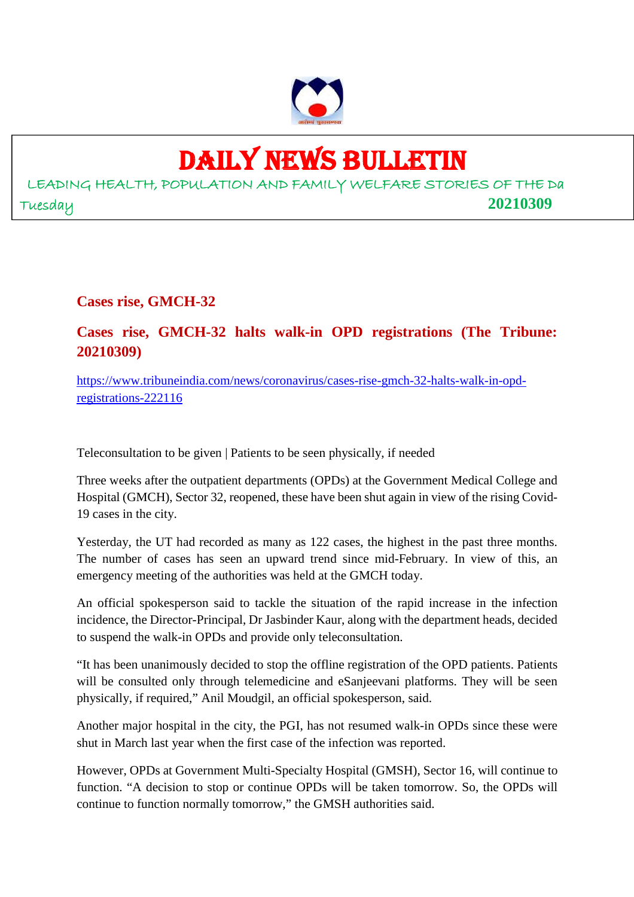

# DAILY NEWS BULLETIN

LEADING HEALTH, POPULATION AND FAMILY WELFARE STORIES OF THE Da Tuesday **20210309**

**Cases rise, GMCH-32**

#### **Cases rise, GMCH-32 halts walk-in OPD registrations (The Tribune: 20210309)**

https://www.tribuneindia.com/news/coronavirus/cases-rise-gmch-32-halts-walk-in-opdregistrations-222116

Teleconsultation to be given | Patients to be seen physically, if needed

Three weeks after the outpatient departments (OPDs) at the Government Medical College and Hospital (GMCH), Sector 32, reopened, these have been shut again in view of the rising Covid-19 cases in the city.

Yesterday, the UT had recorded as many as 122 cases, the highest in the past three months. The number of cases has seen an upward trend since mid-February. In view of this, an emergency meeting of the authorities was held at the GMCH today.

An official spokesperson said to tackle the situation of the rapid increase in the infection incidence, the Director-Principal, Dr Jasbinder Kaur, along with the department heads, decided to suspend the walk-in OPDs and provide only teleconsultation.

"It has been unanimously decided to stop the offline registration of the OPD patients. Patients will be consulted only through telemedicine and eSanjeevani platforms. They will be seen physically, if required," Anil Moudgil, an official spokesperson, said.

Another major hospital in the city, the PGI, has not resumed walk-in OPDs since these were shut in March last year when the first case of the infection was reported.

However, OPDs at Government Multi-Specialty Hospital (GMSH), Sector 16, will continue to function. "A decision to stop or continue OPDs will be taken tomorrow. So, the OPDs will continue to function normally tomorrow," the GMSH authorities said.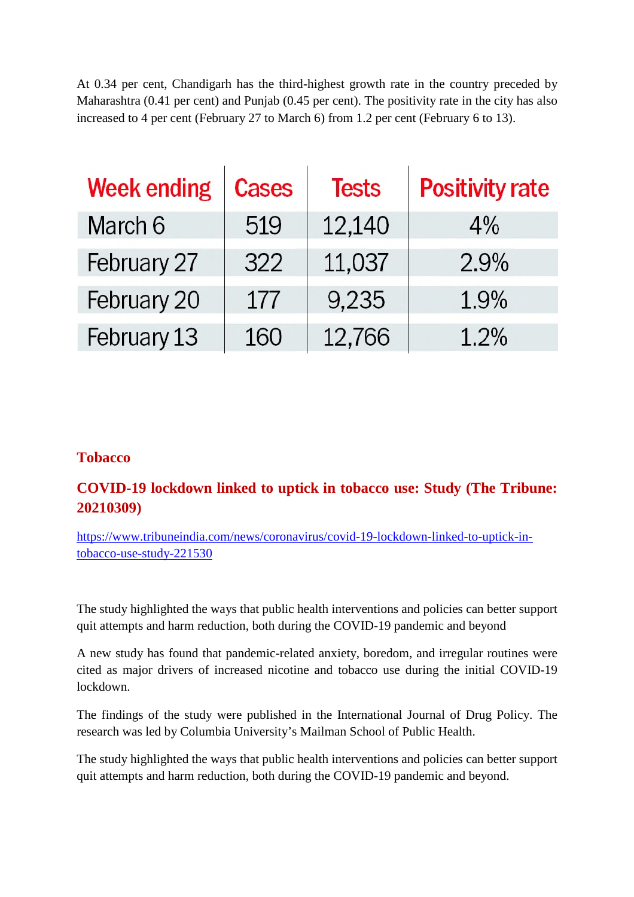At 0.34 per cent, Chandigarh has the third-highest growth rate in the country preceded by Maharashtra (0.41 per cent) and Punjab (0.45 per cent). The positivity rate in the city has also increased to 4 per cent (February 27 to March 6) from 1.2 per cent (February 6 to 13).

| <b>Week ending</b> | <b>Cases</b> | <b>Tests</b> | <b>Positivity rate</b> |
|--------------------|--------------|--------------|------------------------|
| March 6            | 519          | 12,140       | 4%                     |
| February 27        | 322          | 11,037       | 2.9%                   |
| February 20        | 177          | 9,235        | 1.9%                   |
| February 13        | 160          | 12,766       | 1.2%                   |

#### **Tobacco**

#### **COVID-19 lockdown linked to uptick in tobacco use: Study (The Tribune: 20210309)**

https://www.tribuneindia.com/news/coronavirus/covid-19-lockdown-linked-to-uptick-intobacco-use-study-221530

The study highlighted the ways that public health interventions and policies can better support quit attempts and harm reduction, both during the COVID-19 pandemic and beyond

A new study has found that pandemic-related anxiety, boredom, and irregular routines were cited as major drivers of increased nicotine and tobacco use during the initial COVID-19 lockdown.

The findings of the study were published in the International Journal of Drug Policy. The research was led by Columbia University's Mailman School of Public Health.

The study highlighted the ways that public health interventions and policies can better support quit attempts and harm reduction, both during the COVID-19 pandemic and beyond.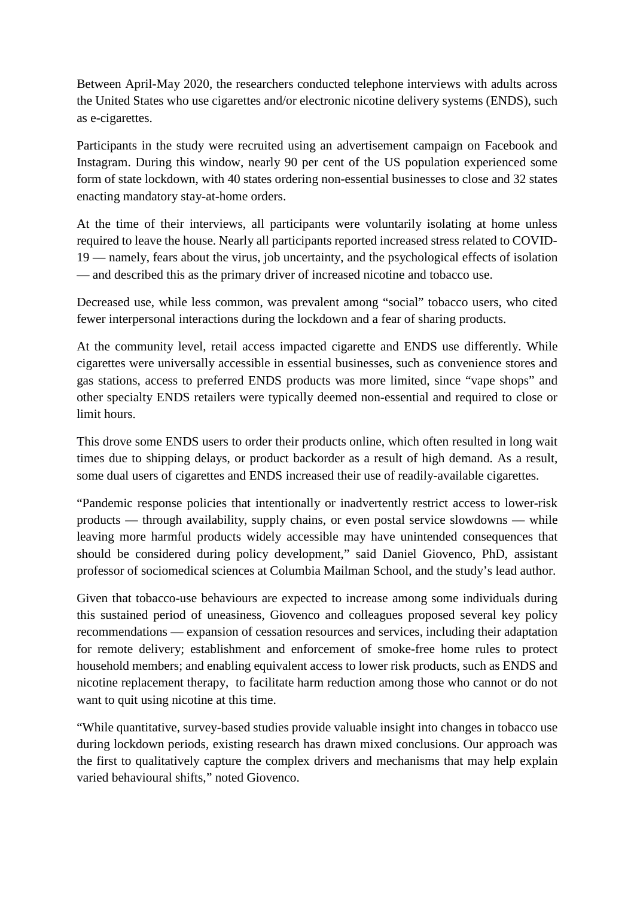Between April-May 2020, the researchers conducted telephone interviews with adults across the United States who use cigarettes and/or electronic nicotine delivery systems (ENDS), such as e-cigarettes.

Participants in the study were recruited using an advertisement campaign on Facebook and Instagram. During this window, nearly 90 per cent of the US population experienced some form of state lockdown, with 40 states ordering non-essential businesses to close and 32 states enacting mandatory stay-at-home orders.

At the time of their interviews, all participants were voluntarily isolating at home unless required to leave the house. Nearly all participants reported increased stress related to COVID-19 — namely, fears about the virus, job uncertainty, and the psychological effects of isolation — and described this as the primary driver of increased nicotine and tobacco use.

Decreased use, while less common, was prevalent among "social" tobacco users, who cited fewer interpersonal interactions during the lockdown and a fear of sharing products.

At the community level, retail access impacted cigarette and ENDS use differently. While cigarettes were universally accessible in essential businesses, such as convenience stores and gas stations, access to preferred ENDS products was more limited, since "vape shops" and other specialty ENDS retailers were typically deemed non-essential and required to close or limit hours.

This drove some ENDS users to order their products online, which often resulted in long wait times due to shipping delays, or product backorder as a result of high demand. As a result, some dual users of cigarettes and ENDS increased their use of readily-available cigarettes.

"Pandemic response policies that intentionally or inadvertently restrict access to lower-risk products — through availability, supply chains, or even postal service slowdowns — while leaving more harmful products widely accessible may have unintended consequences that should be considered during policy development," said Daniel Giovenco, PhD, assistant professor of sociomedical sciences at Columbia Mailman School, and the study's lead author.

Given that tobacco-use behaviours are expected to increase among some individuals during this sustained period of uneasiness, Giovenco and colleagues proposed several key policy recommendations — expansion of cessation resources and services, including their adaptation for remote delivery; establishment and enforcement of smoke-free home rules to protect household members; and enabling equivalent access to lower risk products, such as ENDS and nicotine replacement therapy, to facilitate harm reduction among those who cannot or do not want to quit using nicotine at this time.

"While quantitative, survey-based studies provide valuable insight into changes in tobacco use during lockdown periods, existing research has drawn mixed conclusions. Our approach was the first to qualitatively capture the complex drivers and mechanisms that may help explain varied behavioural shifts," noted Giovenco.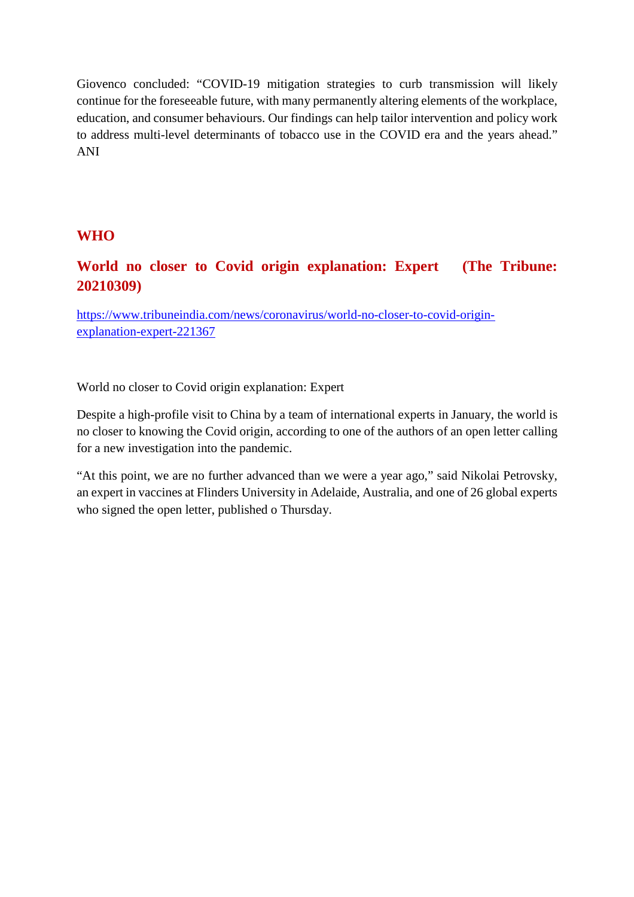Giovenco concluded: "COVID-19 mitigation strategies to curb transmission will likely continue for the foreseeable future, with many permanently altering elements of the workplace, education, and consumer behaviours. Our findings can help tailor intervention and policy work to address multi-level determinants of tobacco use in the COVID era and the years ahead." ANI

#### **WHO**

#### **World no closer to Covid origin explanation: Expert (The Tribune: 20210309)**

https://www.tribuneindia.com/news/coronavirus/world-no-closer-to-covid-originexplanation-expert-221367

World no closer to Covid origin explanation: Expert

Despite a high-profile visit to China by a team of international experts in January, the world is no closer to knowing the Covid origin, according to one of the authors of an open letter calling for a new investigation into the pandemic.

"At this point, we are no further advanced than we were a year ago," said Nikolai Petrovsky, an expert in vaccines at Flinders University in Adelaide, Australia, and one of 26 global experts who signed the open letter, published o Thursday.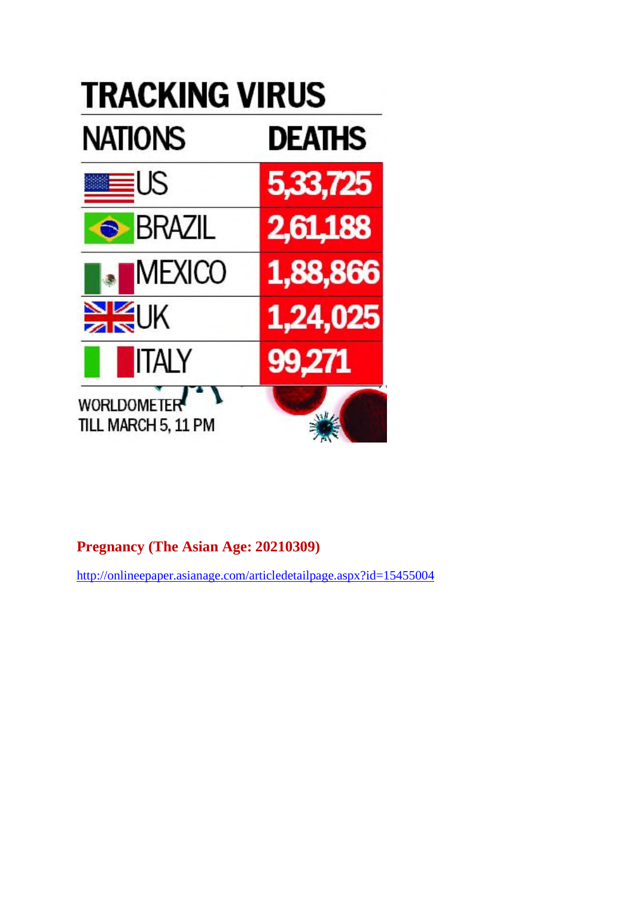

#### **Pregnancy (The Asian Age: 20210309)**

http://onlineepaper.asianage.com/articledetailpage.aspx?id=15455004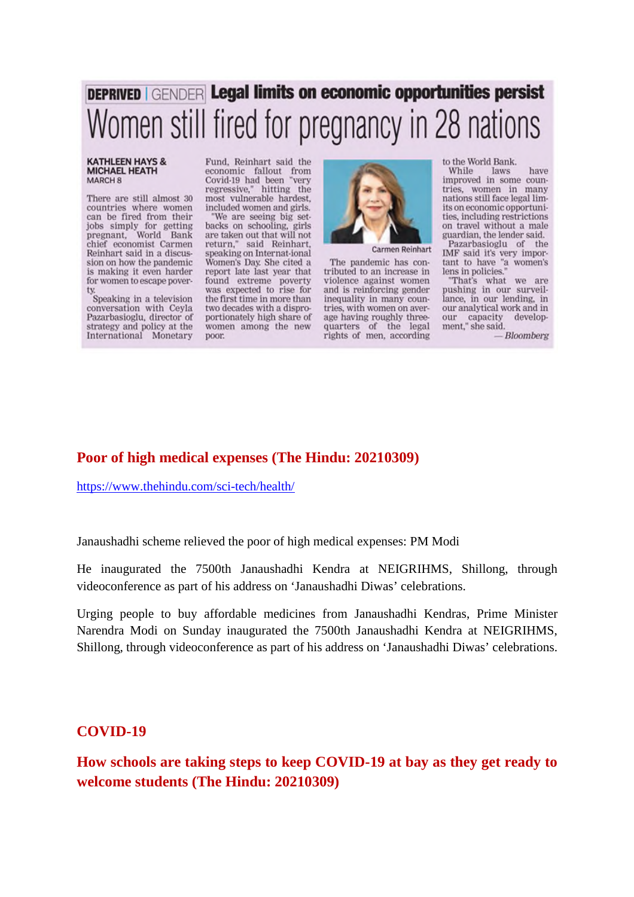## **DEPRIVED GENDER Legal limits on economic opportunities persist** Women still fired for pregnancy in 28 nations

#### **KATHLEEN HAYS & MICHAEL HEATH** MARCH<sub>8</sub>

There are still almost 30 countries where women can be fired from their jobs simply for getting<br>pregnant, World Bank chief economist Carmen Reinhart said in a discussion on how the pandemic is making it even harder for women to escape pover-

Speaking in a television conversation with Ceyla Pazarbasioglu, director of strategy and policy at the International Monetary Fund, Reinhart said the economic fallout from Covid-19 had been 'very regressive." hitting the most vulnerable hardest included women and girls.

'We are seeing big setbacks on schooling, girls are taken out that will not<br>return," said Reinhart, speaking on Internat-ional Women's Day. She cited a report late last year that found extreme poverty<br>was expected to rise for the first time in more than two decades with a disproportionately high share of women among the new poor.



**Carmen Reinhart** 

The pandemic has contributed to an increase in violence against women and is reinforcing gender inequality in many countries, with women on average having roughly threequarters of the legal rights of men, according

to the World Bank.

While Iaws have improved in some countries, women in many nations still face legal limits on economic opportunities, including restrictions on travel without a male guardian, the lender said. Pazarbasioglu of the

IMF said it's very important to have "a women's lens in policies."

"That's what we are pushing in our surveillance, in our lending, in our analytical work and in our capacity development," she said.

 $-Bloomberg$ 

#### **Poor of high medical expenses (The Hindu: 20210309)**

https://www.thehindu.com/sci-tech/health/

Janaushadhi scheme relieved the poor of high medical expenses: PM Modi

He inaugurated the 7500th Janaushadhi Kendra at NEIGRIHMS, Shillong, through videoconference as part of his address on 'Janaushadhi Diwas' celebrations.

Urging people to buy affordable medicines from Janaushadhi Kendras, Prime Minister Narendra Modi on Sunday inaugurated the 7500th Janaushadhi Kendra at NEIGRIHMS, Shillong, through videoconference as part of his address on 'Janaushadhi Diwas' celebrations.

#### **COVID-19**

**How schools are taking steps to keep COVID-19 at bay as they get ready to welcome students (The Hindu: 20210309)**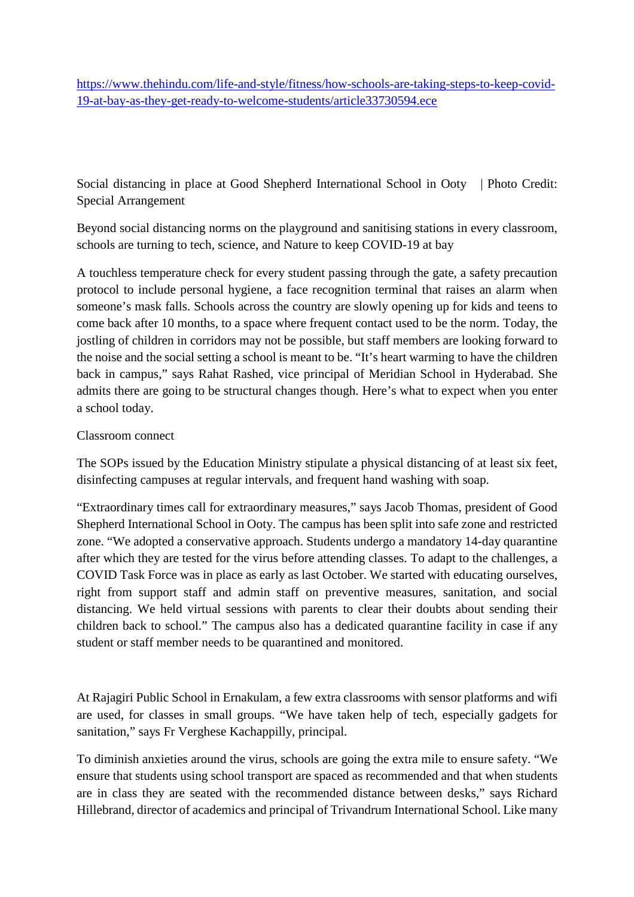https://www.thehindu.com/life-and-style/fitness/how-schools-are-taking-steps-to-keep-covid-19-at-bay-as-they-get-ready-to-welcome-students/article33730594.ece

Social distancing in place at Good Shepherd International School in Ooty | Photo Credit: Special Arrangement

Beyond social distancing norms on the playground and sanitising stations in every classroom, schools are turning to tech, science, and Nature to keep COVID-19 at bay

A touchless temperature check for every student passing through the gate, a safety precaution protocol to include personal hygiene, a face recognition terminal that raises an alarm when someone's mask falls. Schools across the country are slowly opening up for kids and teens to come back after 10 months, to a space where frequent contact used to be the norm. Today, the jostling of children in corridors may not be possible, but staff members are looking forward to the noise and the social setting a school is meant to be. "It's heart warming to have the children back in campus," says Rahat Rashed, vice principal of Meridian School in Hyderabad. She admits there are going to be structural changes though. Here's what to expect when you enter a school today.

#### Classroom connect

The SOPs issued by the Education Ministry stipulate a physical distancing of at least six feet, disinfecting campuses at regular intervals, and frequent hand washing with soap.

"Extraordinary times call for extraordinary measures," says Jacob Thomas, president of Good Shepherd International School in Ooty. The campus has been split into safe zone and restricted zone. "We adopted a conservative approach. Students undergo a mandatory 14-day quarantine after which they are tested for the virus before attending classes. To adapt to the challenges, a COVID Task Force was in place as early as last October. We started with educating ourselves, right from support staff and admin staff on preventive measures, sanitation, and social distancing. We held virtual sessions with parents to clear their doubts about sending their children back to school." The campus also has a dedicated quarantine facility in case if any student or staff member needs to be quarantined and monitored.

At Rajagiri Public School in Ernakulam, a few extra classrooms with sensor platforms and wifi are used, for classes in small groups. "We have taken help of tech, especially gadgets for sanitation," says Fr Verghese Kachappilly, principal.

To diminish anxieties around the virus, schools are going the extra mile to ensure safety. "We ensure that students using school transport are spaced as recommended and that when students are in class they are seated with the recommended distance between desks," says Richard Hillebrand, director of academics and principal of Trivandrum International School. Like many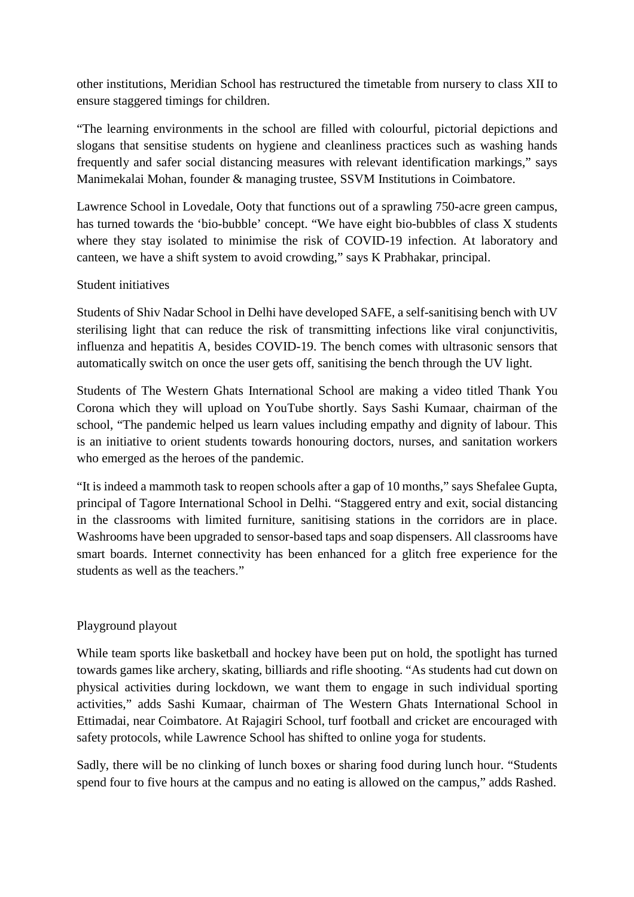other institutions, Meridian School has restructured the timetable from nursery to class XII to ensure staggered timings for children.

"The learning environments in the school are filled with colourful, pictorial depictions and slogans that sensitise students on hygiene and cleanliness practices such as washing hands frequently and safer social distancing measures with relevant identification markings," says Manimekalai Mohan, founder & managing trustee, SSVM Institutions in Coimbatore.

Lawrence School in Lovedale, Ooty that functions out of a sprawling 750-acre green campus, has turned towards the 'bio-bubble' concept. "We have eight bio-bubbles of class X students where they stay isolated to minimise the risk of COVID-19 infection. At laboratory and canteen, we have a shift system to avoid crowding," says K Prabhakar, principal.

#### Student initiatives

Students of Shiv Nadar School in Delhi have developed SAFE, a self-sanitising bench with UV sterilising light that can reduce the risk of transmitting infections like viral conjunctivitis, influenza and hepatitis A, besides COVID-19. The bench comes with ultrasonic sensors that automatically switch on once the user gets off, sanitising the bench through the UV light.

Students of The Western Ghats International School are making a video titled Thank You Corona which they will upload on YouTube shortly. Says Sashi Kumaar, chairman of the school, "The pandemic helped us learn values including empathy and dignity of labour. This is an initiative to orient students towards honouring doctors, nurses, and sanitation workers who emerged as the heroes of the pandemic.

"It is indeed a mammoth task to reopen schools after a gap of 10 months," says Shefalee Gupta, principal of Tagore International School in Delhi. "Staggered entry and exit, social distancing in the classrooms with limited furniture, sanitising stations in the corridors are in place. Washrooms have been upgraded to sensor-based taps and soap dispensers. All classrooms have smart boards. Internet connectivity has been enhanced for a glitch free experience for the students as well as the teachers."

#### Playground playout

While team sports like basketball and hockey have been put on hold, the spotlight has turned towards games like archery, skating, billiards and rifle shooting. "As students had cut down on physical activities during lockdown, we want them to engage in such individual sporting activities," adds Sashi Kumaar, chairman of The Western Ghats International School in Ettimadai, near Coimbatore. At Rajagiri School, turf football and cricket are encouraged with safety protocols, while Lawrence School has shifted to online yoga for students.

Sadly, there will be no clinking of lunch boxes or sharing food during lunch hour. "Students spend four to five hours at the campus and no eating is allowed on the campus," adds Rashed.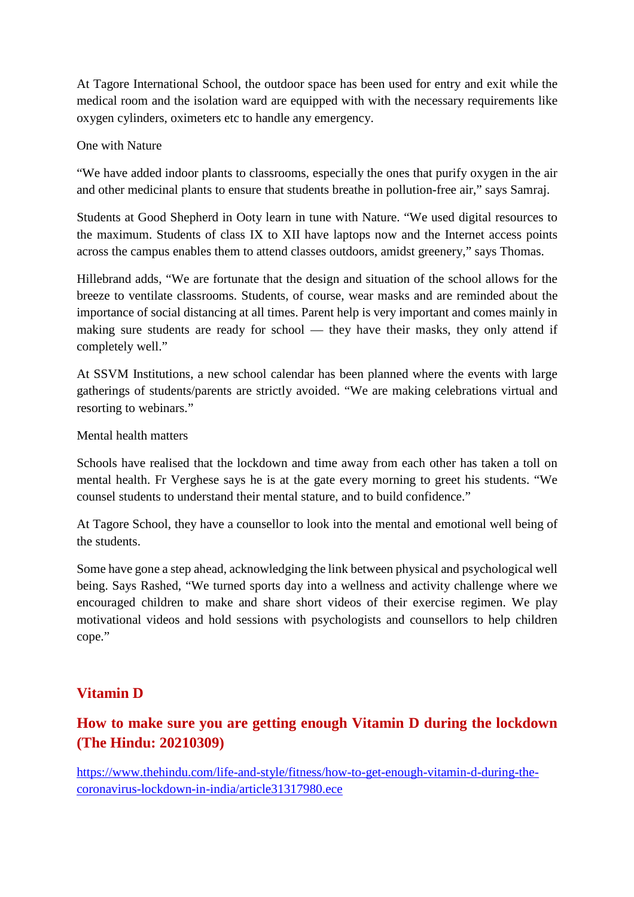At Tagore International School, the outdoor space has been used for entry and exit while the medical room and the isolation ward are equipped with with the necessary requirements like oxygen cylinders, oximeters etc to handle any emergency.

#### One with Nature

"We have added indoor plants to classrooms, especially the ones that purify oxygen in the air and other medicinal plants to ensure that students breathe in pollution-free air," says Samraj.

Students at Good Shepherd in Ooty learn in tune with Nature. "We used digital resources to the maximum. Students of class IX to XII have laptops now and the Internet access points across the campus enables them to attend classes outdoors, amidst greenery," says Thomas.

Hillebrand adds, "We are fortunate that the design and situation of the school allows for the breeze to ventilate classrooms. Students, of course, wear masks and are reminded about the importance of social distancing at all times. Parent help is very important and comes mainly in making sure students are ready for school — they have their masks, they only attend if completely well."

At SSVM Institutions, a new school calendar has been planned where the events with large gatherings of students/parents are strictly avoided. "We are making celebrations virtual and resorting to webinars."

Mental health matters

Schools have realised that the lockdown and time away from each other has taken a toll on mental health. Fr Verghese says he is at the gate every morning to greet his students. "We counsel students to understand their mental stature, and to build confidence."

At Tagore School, they have a counsellor to look into the mental and emotional well being of the students.

Some have gone a step ahead, acknowledging the link between physical and psychological well being. Says Rashed, "We turned sports day into a wellness and activity challenge where we encouraged children to make and share short videos of their exercise regimen. We play motivational videos and hold sessions with psychologists and counsellors to help children cope."

#### **Vitamin D**

#### **How to make sure you are getting enough Vitamin D during the lockdown (The Hindu: 20210309)**

https://www.thehindu.com/life-and-style/fitness/how-to-get-enough-vitamin-d-during-thecoronavirus-lockdown-in-india/article31317980.ece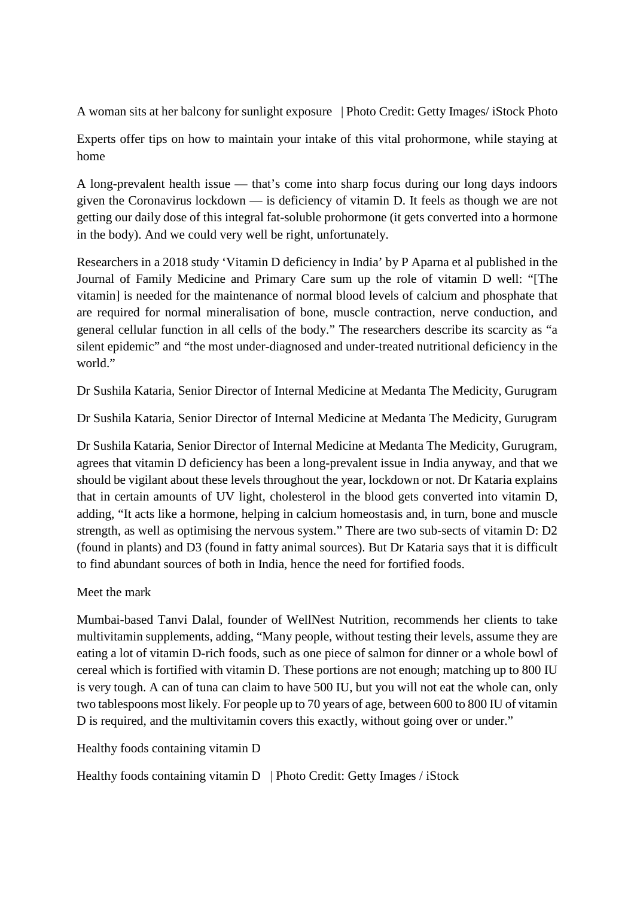A woman sits at her balcony for sunlight exposure | Photo Credit: Getty Images/ iStock Photo

Experts offer tips on how to maintain your intake of this vital prohormone, while staying at home

A long-prevalent health issue — that's come into sharp focus during our long days indoors given the Coronavirus lockdown — is deficiency of vitamin D. It feels as though we are not getting our daily dose of this integral fat-soluble prohormone (it gets converted into a hormone in the body). And we could very well be right, unfortunately.

Researchers in a 2018 study 'Vitamin D deficiency in India' by P Aparna et al published in the Journal of Family Medicine and Primary Care sum up the role of vitamin D well: "[The vitamin] is needed for the maintenance of normal blood levels of calcium and phosphate that are required for normal mineralisation of bone, muscle contraction, nerve conduction, and general cellular function in all cells of the body." The researchers describe its scarcity as "a silent epidemic" and "the most under-diagnosed and under-treated nutritional deficiency in the world"

Dr Sushila Kataria, Senior Director of Internal Medicine at Medanta The Medicity, Gurugram

Dr Sushila Kataria, Senior Director of Internal Medicine at Medanta The Medicity, Gurugram

Dr Sushila Kataria, Senior Director of Internal Medicine at Medanta The Medicity, Gurugram, agrees that vitamin D deficiency has been a long-prevalent issue in India anyway, and that we should be vigilant about these levels throughout the year, lockdown or not. Dr Kataria explains that in certain amounts of UV light, cholesterol in the blood gets converted into vitamin D, adding, "It acts like a hormone, helping in calcium homeostasis and, in turn, bone and muscle strength, as well as optimising the nervous system." There are two sub-sects of vitamin D: D2 (found in plants) and D3 (found in fatty animal sources). But Dr Kataria says that it is difficult to find abundant sources of both in India, hence the need for fortified foods.

Meet the mark

Mumbai-based Tanvi Dalal, founder of WellNest Nutrition, recommends her clients to take multivitamin supplements, adding, "Many people, without testing their levels, assume they are eating a lot of vitamin D-rich foods, such as one piece of salmon for dinner or a whole bowl of cereal which is fortified with vitamin D. These portions are not enough; matching up to 800 IU is very tough. A can of tuna can claim to have 500 IU, but you will not eat the whole can, only two tablespoons most likely. For people up to 70 years of age, between 600 to 800 IU of vitamin D is required, and the multivitamin covers this exactly, without going over or under."

Healthy foods containing vitamin D

Healthy foods containing vitamin D | Photo Credit: Getty Images / iStock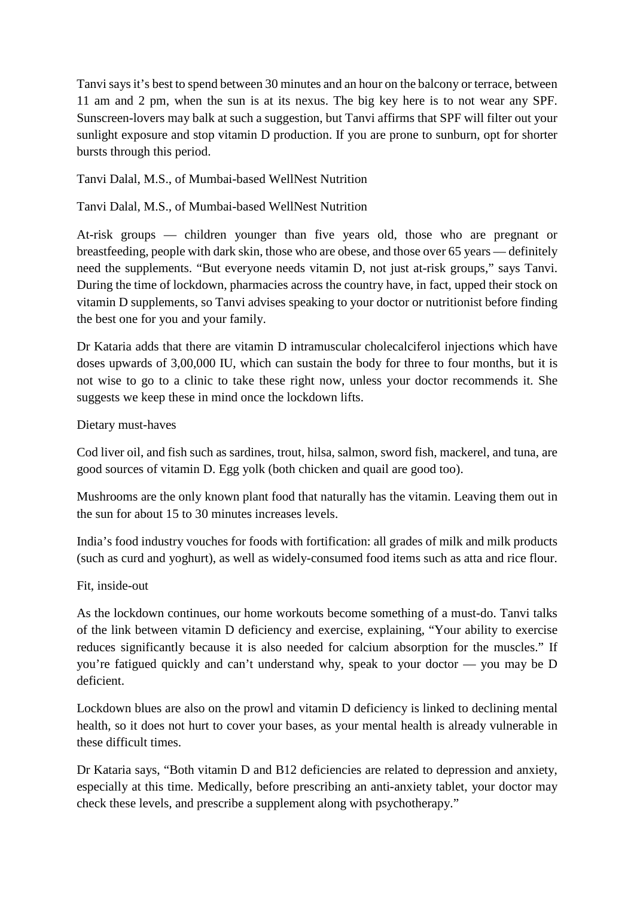Tanvi says it's best to spend between 30 minutes and an hour on the balcony or terrace, between 11 am and 2 pm, when the sun is at its nexus. The big key here is to not wear any SPF. Sunscreen-lovers may balk at such a suggestion, but Tanvi affirms that SPF will filter out your sunlight exposure and stop vitamin D production. If you are prone to sunburn, opt for shorter bursts through this period.

#### Tanvi Dalal, M.S., of Mumbai-based WellNest Nutrition

Tanvi Dalal, M.S., of Mumbai-based WellNest Nutrition

At-risk groups — children younger than five years old, those who are pregnant or breastfeeding, people with dark skin, those who are obese, and those over 65 years — definitely need the supplements. "But everyone needs vitamin D, not just at-risk groups," says Tanvi. During the time of lockdown, pharmacies across the country have, in fact, upped their stock on vitamin D supplements, so Tanvi advises speaking to your doctor or nutritionist before finding the best one for you and your family.

Dr Kataria adds that there are vitamin D intramuscular cholecalciferol injections which have doses upwards of 3,00,000 IU, which can sustain the body for three to four months, but it is not wise to go to a clinic to take these right now, unless your doctor recommends it. She suggests we keep these in mind once the lockdown lifts.

#### Dietary must-haves

Cod liver oil, and fish such as sardines, trout, hilsa, salmon, sword fish, mackerel, and tuna, are good sources of vitamin D. Egg yolk (both chicken and quail are good too).

Mushrooms are the only known plant food that naturally has the vitamin. Leaving them out in the sun for about 15 to 30 minutes increases levels.

India's food industry vouches for foods with fortification: all grades of milk and milk products (such as curd and yoghurt), as well as widely-consumed food items such as atta and rice flour.

#### Fit, inside-out

As the lockdown continues, our home workouts become something of a must-do. Tanvi talks of the link between vitamin D deficiency and exercise, explaining, "Your ability to exercise reduces significantly because it is also needed for calcium absorption for the muscles." If you're fatigued quickly and can't understand why, speak to your doctor — you may be D deficient.

Lockdown blues are also on the prowl and vitamin D deficiency is linked to declining mental health, so it does not hurt to cover your bases, as your mental health is already vulnerable in these difficult times.

Dr Kataria says, "Both vitamin D and B12 deficiencies are related to depression and anxiety, especially at this time. Medically, before prescribing an anti-anxiety tablet, your doctor may check these levels, and prescribe a supplement along with psychotherapy."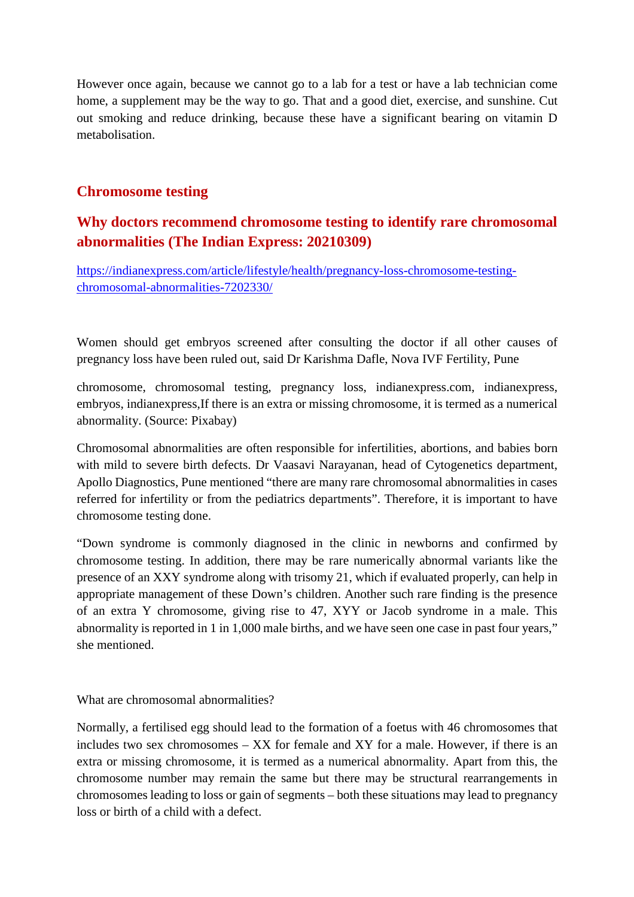However once again, because we cannot go to a lab for a test or have a lab technician come home, a supplement may be the way to go. That and a good diet, exercise, and sunshine. Cut out smoking and reduce drinking, because these have a significant bearing on vitamin D metabolisation.

#### **Chromosome testing**

#### **Why doctors recommend chromosome testing to identify rare chromosomal abnormalities (The Indian Express: 20210309)**

https://indianexpress.com/article/lifestyle/health/pregnancy-loss-chromosome-testingchromosomal-abnormalities-7202330/

Women should get embryos screened after consulting the doctor if all other causes of pregnancy loss have been ruled out, said Dr Karishma Dafle, Nova IVF Fertility, Pune

chromosome, chromosomal testing, pregnancy loss, indianexpress.com, indianexpress, embryos, indianexpress,If there is an extra or missing chromosome, it is termed as a numerical abnormality. (Source: Pixabay)

Chromosomal abnormalities are often responsible for infertilities, abortions, and babies born with mild to severe birth defects. Dr Vaasavi Narayanan, head of Cytogenetics department, Apollo Diagnostics, Pune mentioned "there are many rare chromosomal abnormalities in cases referred for infertility or from the pediatrics departments". Therefore, it is important to have chromosome testing done.

"Down syndrome is commonly diagnosed in the clinic in newborns and confirmed by chromosome testing. In addition, there may be rare numerically abnormal variants like the presence of an XXY syndrome along with trisomy 21, which if evaluated properly, can help in appropriate management of these Down's children. Another such rare finding is the presence of an extra Y chromosome, giving rise to 47, XYY or Jacob syndrome in a male. This abnormality is reported in 1 in 1,000 male births, and we have seen one case in past four years," she mentioned.

What are chromosomal abnormalities?

Normally, a fertilised egg should lead to the formation of a foetus with 46 chromosomes that includes two sex chromosomes – XX for female and XY for a male. However, if there is an extra or missing chromosome, it is termed as a numerical abnormality. Apart from this, the chromosome number may remain the same but there may be structural rearrangements in chromosomes leading to loss or gain of segments – both these situations may lead to pregnancy loss or birth of a child with a defect.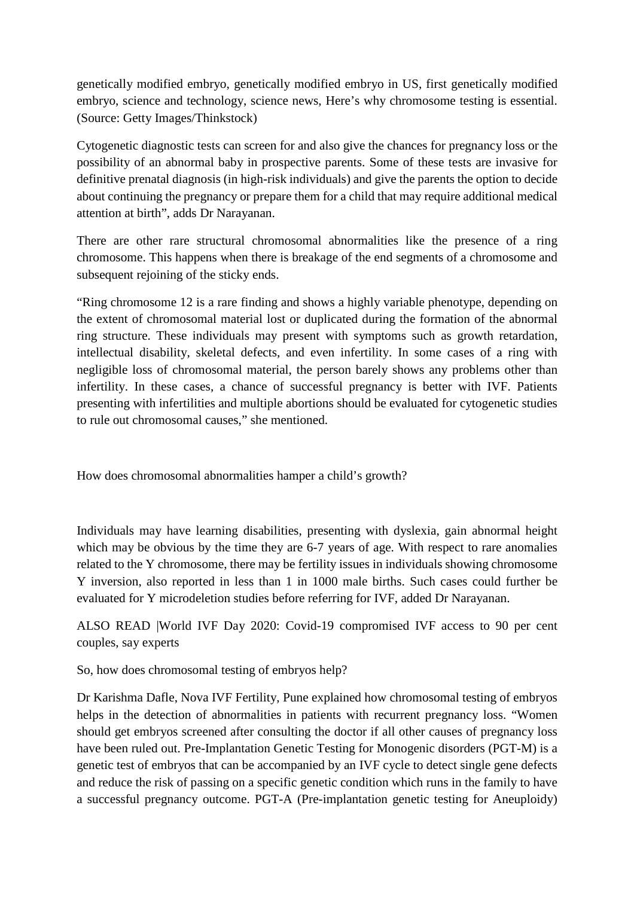genetically modified embryo, genetically modified embryo in US, first genetically modified embryo, science and technology, science news, Here's why chromosome testing is essential. (Source: Getty Images/Thinkstock)

Cytogenetic diagnostic tests can screen for and also give the chances for pregnancy loss or the possibility of an abnormal baby in prospective parents. Some of these tests are invasive for definitive prenatal diagnosis (in high-risk individuals) and give the parents the option to decide about continuing the pregnancy or prepare them for a child that may require additional medical attention at birth", adds Dr Narayanan.

There are other rare structural chromosomal abnormalities like the presence of a ring chromosome. This happens when there is breakage of the end segments of a chromosome and subsequent rejoining of the sticky ends.

"Ring chromosome 12 is a rare finding and shows a highly variable phenotype, depending on the extent of chromosomal material lost or duplicated during the formation of the abnormal ring structure. These individuals may present with symptoms such as growth retardation, intellectual disability, skeletal defects, and even infertility. In some cases of a ring with negligible loss of chromosomal material, the person barely shows any problems other than infertility. In these cases, a chance of successful pregnancy is better with IVF. Patients presenting with infertilities and multiple abortions should be evaluated for cytogenetic studies to rule out chromosomal causes," she mentioned.

How does chromosomal abnormalities hamper a child's growth?

Individuals may have learning disabilities, presenting with dyslexia, gain abnormal height which may be obvious by the time they are 6-7 years of age. With respect to rare anomalies related to the Y chromosome, there may be fertility issues in individuals showing chromosome Y inversion, also reported in less than 1 in 1000 male births. Such cases could further be evaluated for Y microdeletion studies before referring for IVF, added Dr Narayanan.

ALSO READ |World IVF Day 2020: Covid-19 compromised IVF access to 90 per cent couples, say experts

So, how does chromosomal testing of embryos help?

Dr Karishma Dafle, Nova IVF Fertility, Pune explained how chromosomal testing of embryos helps in the detection of abnormalities in patients with recurrent pregnancy loss. "Women should get embryos screened after consulting the doctor if all other causes of pregnancy loss have been ruled out. Pre-Implantation Genetic Testing for Monogenic disorders (PGT-M) is a genetic test of embryos that can be accompanied by an IVF cycle to detect single gene defects and reduce the risk of passing on a specific genetic condition which runs in the family to have a successful pregnancy outcome. PGT-A (Pre-implantation genetic testing for Aneuploidy)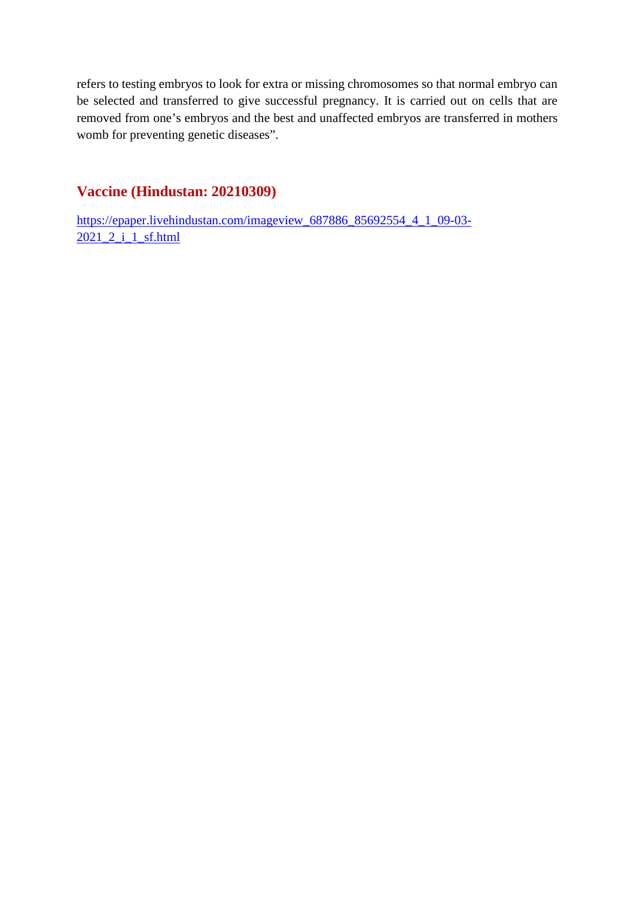refers to testing embryos to look for extra or missing chromosomes so that normal embryo can be selected and transferred to give successful pregnancy. It is carried out on cells that are removed from one's embryos and the best and unaffected embryos are transferred in mothers womb for preventing genetic diseases".

#### **Vaccine (Hindustan: 20210309)**

https://epaper.livehindustan.com/imageview\_687886\_85692554\_4\_1\_09-03- 2021\_2\_i\_1\_sf.html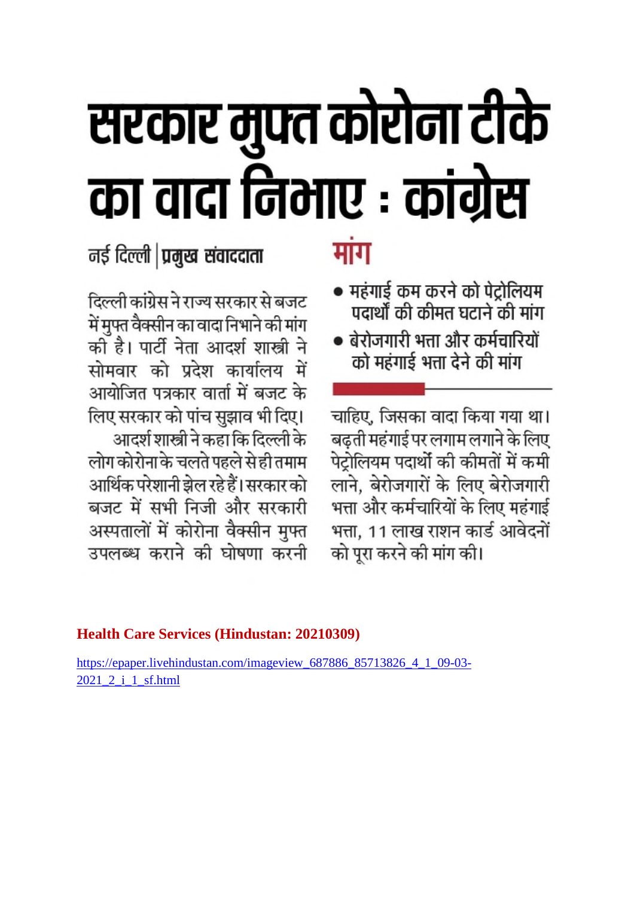# सरकार मुफ्त कोरोना टीके<br>का वादा निभाए : कांग्रेस

नई दिल्ली **| प्रमुख संवाददाता** 

दिल्ली कांग्रेस ने राज्य सरकार से बजट में मुफ्त वैक्सीन का वादा निभाने की मांग को है। पार्टी नेता आदर्श शास्त्री ने सोमवार को प्रदेश कार्यालय में आयोजित पत्रकार वार्ता में बजट के लिए सरकार को पांच सुझाव भी दिए। आदर्श शास्त्री ने कहा कि दिल्ली के लोग कोरोना के चलते पहले से ही तमाम आर्थिक परेशानी झेल रहे हैं। सरकार को बजट में सभी निजी और सरकारी अस्पतालों में कोरोना वैक्सीन मुफ्त उपलब्ध कराने की घोषणा करनी

#### **Health Care Services (Hindustan: 20210309)**

https://epaper.livehindustan.com/imageview 687886 85713826 4 1 09-03-2021 2 i 1 sf.html

## मांग

- महंगाई कम करने को पेट्रोलियम पदार्थों की कीमत घटाने की मांग
- बेरोजगारी भत्ता और कर्मचारियों को महंगाई भत्ता देने की मांग

चाहिए, जिसका वादा किया गया था। बढ़ती महंगाई पर लगाम लगाने के लिए पेट्रोलियम पदार्थो की कीमतों में कमी लाने, बेरोजगारों के लिए बेरोजगारी भत्ता और कर्मचारियों के लिए महंगाई भत्ता, 11 लाख राशन कार्ड आवेदनों को पूरा करने की मांग की।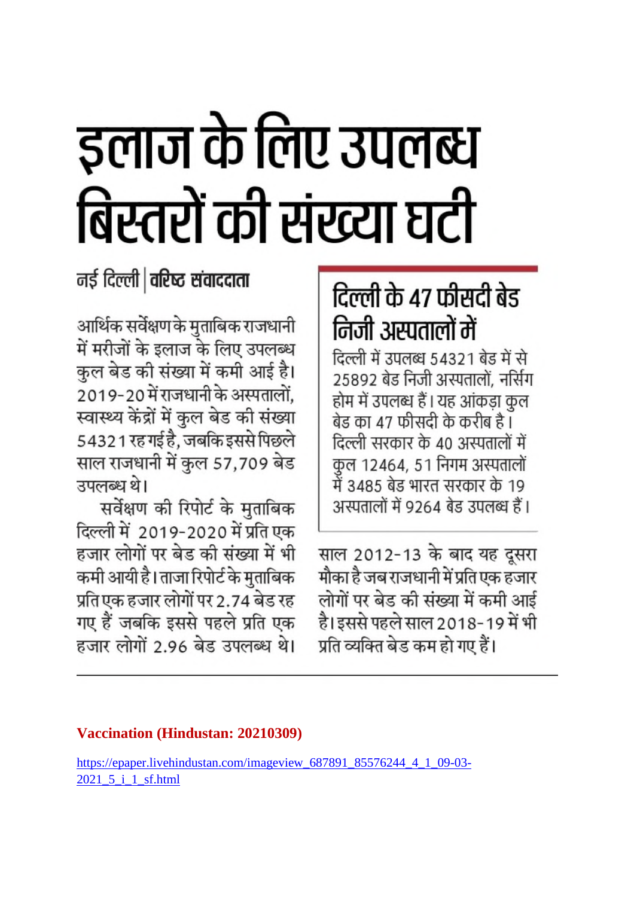# इलाज के लिए उपलब्ध बिस्तरों की संख्या घटी

### नई दिल्ली | वरिष्ठ संवाददाता

आर्थिक सर्वेक्षण के मुताबिक राजधानी में मरीजों के इलाज के लिए उपलब्ध कल बेड की संख्या में कमी आई है। 2019-20 में राजधानी के अस्पतालों, स्वास्थ्य केंद्रों में कुल बेड की संख्या 54321 रह गई है, जबकि इससे पिछले साल राजधानी में कुल 57,709 बेड उपलब्ध थे।

सर्वेक्षण की रिपोर्ट के मुताबिक दिल्ली में 2019-2020 में प्रति एक हजार लोगों पर बेड की संख्या में भी कमी आयी है। ताजा रिपोर्ट के मुताबिक प्रति एक हजार लोगों पर 2.74 बेड रह गए हैं जबकि इससे पहले प्रति एक हजार लोगों 2.96 बेड उपलब्ध थे।

# दिल्ली के 47 फीसदी बेड निजी अस्पतालों में

दिल्ली में उपलब्ध 54321 बेड में से 25892 बेड निजी अस्पतालों. नर्सिंग होम में उपलब्ध हैं। यह आंकड़ा कुल बेड का 47 फीसदी के करीब है । दिल्ली सरकार के 40 अस्पतालों में कुल 12464, 51 निगम अस्पतालों में 3485 बेड भारत सरकार के 19 अस्पतालों में 9264 बेड उपलब्ध हैं।

साल 2012-13 के बाद यह दूसरा मौका है जब राजधानी में प्रति एक हजार लोगों पर बेड की संख्या में कमी आई है। इससे पहले साल 2018-19 में भी प्रति व्यक्ति बेड कम हो गए हैं।

#### **Vaccination (Hindustan: 20210309)**

https://epaper.livehindustan.com/imageview\_687891\_85576244\_4\_1\_09-03-2021 5 i 1 sf.html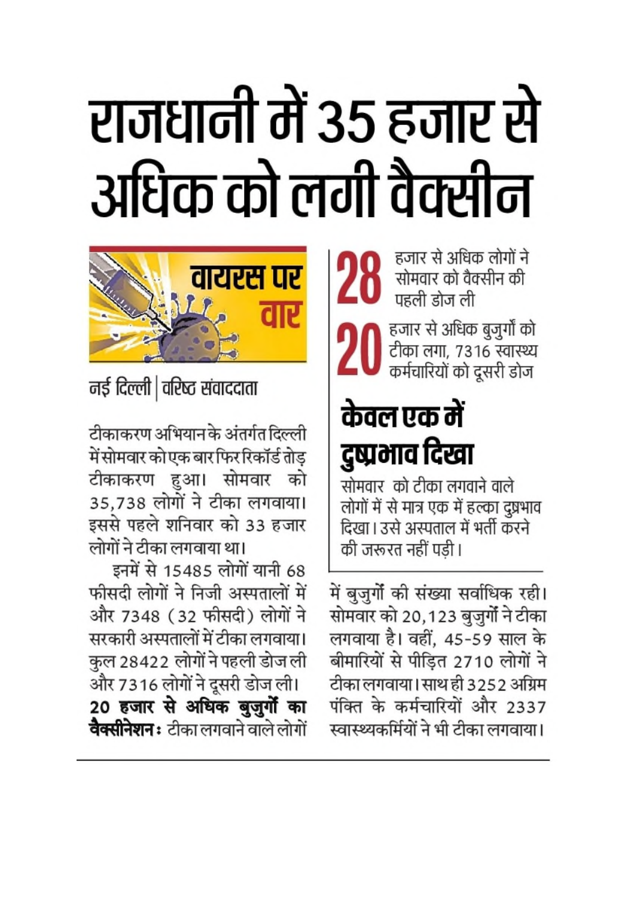# राजधानी में 35 हजार से अधिक को लगी वैक्सीन



नई दिल्ली | वरिष्ट संवाददाता

टीकाकरण अभियान के अंतर्गत दिल्ली में सोमवार को एक बार फिर रिकॉर्ड तोड टीकाकरण हुआ। सोमवार को 35,738 लोगों ने टीका लगवाया। इससे पहले शनिवार को 33 हजार लोगों ने टीका लगवाया था।

इनमें से 15485 लोगों यानी 68 फीसदी लोगों ने निजी अस्पतालों में और 7348 (32 फीसदी) लोगों ने सरकारी अस्पतालों में टीका लगवाया। कुल 28422 लोगों ने पहली डोज ली

और 7316 लोगों ने दूसरी डोज ली। 20 हजार से अधिक बुजुर्गो का **वैक्सीनेशन :** टीका लगवाने वाले लोगों

हजार से अधिक लोगों ने सोमवार को वैक्सीन की पहली डोज ली

हजार से अधिक बुजुर्गों को टीका लगा, 7316 स्वास्थ्य कर्मचारियों को दूसरी डोज

# केवल एक में दुष्प्रभाव दिखा

सोमवार) को टीका लगवाने वाले. लोगों में से मात्र एक में हल्का दुष्रभाव दिखा। उसे अस्पताल में भर्ती करने की जरूरत नहीं पड़ी।

में बुजुर्गों की संख्या सर्वाधिक रही। सोमवार को 20,123 बुजुर्गों ने टीका लगवाया है। वहीं, 45-59 साल के बीमारियों से पीड़ित 2710 लोगों ने टीका लगवाया। साथ ही 3252 अग्रिम पंक्ति के कर्मचारियों और 2337 स्वास्थ्यकर्मियों ने भी टीका लगवाया।